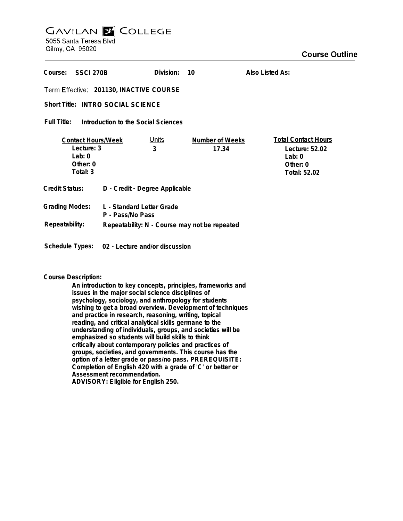# **GAVILAN E COLLEGE** 5055 Santa Teresa Blvd

Gilroy, CA 95020

| Course:<br>SSCI 270B                                                          |                                               | Division:  | 10                       | Also Listed As:                                                                    |
|-------------------------------------------------------------------------------|-----------------------------------------------|------------|--------------------------|------------------------------------------------------------------------------------|
| Term Effective: 201130, INACTIVE COURSE                                       |                                               |            |                          |                                                                                    |
| Short Title: INTRO SOCIAL SCIENCE                                             |                                               |            |                          |                                                                                    |
| Full Title:<br>Introduction to the Social Sciences                            |                                               |            |                          |                                                                                    |
| <b>Contact Hours/Week</b><br>Lecture: 3<br>Lab: $0$<br>Other: $0$<br>Total: 3 |                                               | Units<br>3 | Number of Weeks<br>17.34 | <b>Total Contact Hours</b><br>Lecture: 52.02<br>Lab: 0<br>Other: 0<br>Total: 52.02 |
| Credit Status:                                                                | D - Credit - Degree Applicable                |            |                          |                                                                                    |
| <b>Grading Modes:</b>                                                         | L - Standard Letter Grade<br>P - Pass/No Pass |            |                          |                                                                                    |
| Repeatability:                                                                | Repeatability: N - Course may not be repeated |            |                          |                                                                                    |

**Schedule Types: 02 - Lecture and/or discussion**

# **Course Description:**

**An introduction to key concepts, principles, frameworks and issues in the major social science disciplines of psychology, sociology, and anthropology for students wishing to get a broad overview. Development of techniques and practice in research, reasoning, writing, topical reading, and critical analytical skills germane to the understanding of individuals, groups, and societies will be emphasized so students will build skills to think critically about contemporary policies and practices of groups, societies, and governments. This course has the option of a letter grade or pass/no pass. PREREQUISITE: Completion of English 420 with a grade of 'C' or better or Assessment recommendation. ADVISORY: Eligible for English 250.**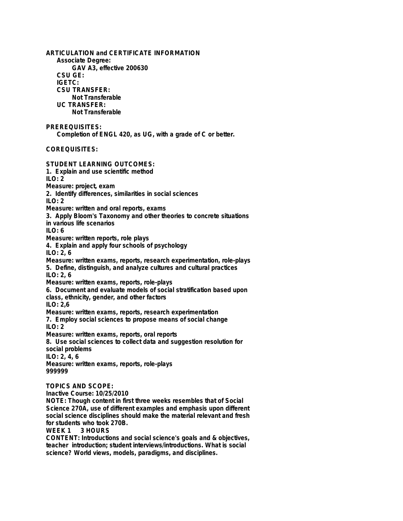**ARTICULATION and CERTIFICATE INFORMATION Associate Degree: GAV A3, effective 200630 CSU GE: IGETC: CSU TRANSFER: Not Transferable UC TRANSFER: Not Transferable PREREQUISITES: Completion of ENGL 420, as UG, with a grade of C or better. COREQUISITES: STUDENT LEARNING OUTCOMES: 1. Explain and use scientific method**  $II$  O: 2 **Measure: project, exam 2. Identify differences, similarities in social sciences ILO: 2 Measure: written and oral reports, exams 3. Apply Bloom's Taxonomy and other theories to concrete situations in various life scenarios ILO: 6 Measure: written reports, role plays 4. Explain and apply four schools of psychology ILO: 2, 6 Measure: written exams, reports, research experimentation, role-plays 5. Define, distinguish, and analyze cultures and cultural practices ILO: 2, 6 Measure: written exams, reports, role-plays 6. Document and evaluate models of social stratification based upon class, ethnicity, gender, and other factors ILO: 2,6 Measure: written exams, reports, research experimentation 7. Employ social sciences to propose means of social change ILO: 2 Measure: written exams, reports, oral reports 8. Use social sciences to collect data and suggestion resolution for social problems ILO: 2, 4, 6 Measure: written exams, reports, role-plays 999999 TOPICS AND SCOPE: Inactive Course: 10/25/2010 NOTE: Though content in first three weeks resembles that of Social Science 270A, use of different examples and emphasis upon different social science disciplines should make the material relevant and fresh for students who took 270B.** 3 HOURS **CONTENT: Introductions and social science's goals and & objectives, teacher introduction; student interviews/introductions. What is social science? World views, models, paradigms, and disciplines.**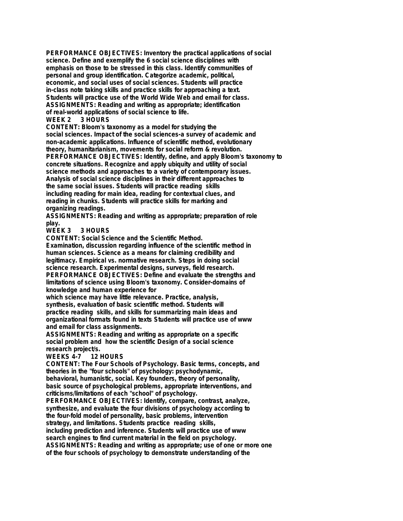**PERFORMANCE OBJECTIVES: Inventory the practical applications of social science. Define and exemplify the 6 social science disciplines with emphasis on those to be stressed in this class. Identify communities of personal and group identification. Categorize academic, political, economic, and social uses of social sciences. Students will practice in-class note taking skills and practice skills for approaching a text. Students will practice use of the World Wide Web and email for class. ASSIGNMENTS: Reading and writing as appropriate; identification of real-world applications of social science to life.**

#### **WEEK 2 3 HOURS**

**CONTENT: Bloom's taxonomy as a model for studying the social sciences. Impact of the social sciences-a survey of academic and non-academic applications. Influence of scientific method, evolutionary theory, humanitarianism, movements for social reform & revolution. PERFORMANCE OBJECTIVES: Identify, define, and apply Bloom's taxonomy to concrete situations. Recognize and apply ubiquity and utility of social science methods and approaches to a variety of contemporary issues. Analysis of social science disciplines in their different approaches to the same social issues. Students will practice reading skills including reading for main idea, reading for contextual clues, and reading in chunks. Students will practice skills for marking and organizing readings.**

**ASSIGNMENTS: Reading and writing as appropriate; preparation of role play.**

**WEEK 3 3 HOURS**

**CONTENT: Social Science and the Scientific Method.**

**Examination, discussion regarding influence of the scientific method in human sciences. Science as a means for claiming credibility and legitimacy. Empirical vs. normative research. Steps in doing social science research. Experimental designs, surveys, field research. PERFORMANCE OBJECTIVES: Define and evaluate the strengths and limitations of science using Bloom's taxonomy. Consider-domains of knowledge and human experience for**

**which science may have little relevance. Practice, analysis, synthesis, evaluation of basic scientific method. Students will practice reading skills, and skills for summarizing main ideas and organizational formats found in texts Students will practice use of www and email for class assignments.**

**ASSIGNMENTS: Reading and writing as appropriate on a specific social problem and how the scientific Design of a social science research project/s.**

### **WEEKS 4-7 12 HOURS**

**CONTENT: The Four Schools of Psychology. Basic terms, concepts, and theories in the "four schools" of psychology: psychodynamic, behavioral, humanistic, social. Key founders, theory of personality, basic source of psychological problems, appropriate interventions, and**

**criticisms/limitations of each "school" of psychology. PERFORMANCE OBJECTIVES: Identify, compare, contrast, analyze, synthesize, and evaluate the four divisions of psychology according to the four-fold model of personality, basic problems, intervention strategy, and limitations. Students practice reading skills, including prediction and inference. Students will practice use of www search engines to find current material in the field on psychology. ASSIGNMENTS: Reading and writing as appropriate; use of one or more one of the four schools of psychology to demonstrate understanding of the**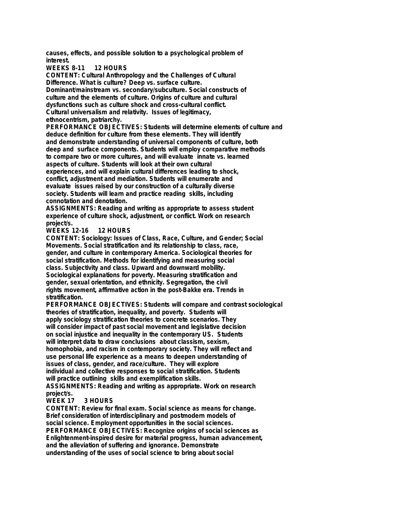**causes, effects, and possible solution to a psychological problem of interest.**

**WEEKS 8-11 12 HOURS**

**CONTENT: Cultural Anthropology and the Challenges of Cultural Difference. What is culture? Deep vs. surface culture. Dominant/mainstream vs. secondary/subculture. Social constructs of culture and the elements of culture. Origins of culture and cultural dysfunctions such as culture shock and cross-cultural conflict. Cultural universalism and relativity. Issues of legitimacy, ethnocentrism, patriarchy.**

**PERFORMANCE OBJECTIVES: Students will determine elements of culture and deduce definition for culture from these elements. They will identify and demonstrate understanding of universal components of culture, both deep and surface components. Students will employ comparative methods to compare two or more cultures, and will evaluate innate vs. learned aspects of culture. Students will look at their own cultural experiences, and will explain cultural differences leading to shock, conflict, adjustment and mediation. Students will enumerate and evaluate issues raised by our construction of a culturally diverse society. Students will learn and practice reading skills, including connotation and denotation.**

**ASSIGNMENTS: Reading and writing as appropriate to assess student experience of culture shock, adjustment, or conflict. Work on research project/s.**

**WEEKS 12-16 12 HOURS**

**CONTENT: Sociology: Issues of Class, Race, Culture, and Gender; Social Movements. Social stratification and its relationship to class, race, gender, and culture in contemporary America. Sociological theories for social stratification. Methods for identifying and measuring social class. Subjectivity and class. Upward and downward mobility. Sociological explanations for poverty. Measuring stratification and gender, sexual orientation, and ethnicity. Segregation, the civil rights movement, affirmative action in the post-Bakke era. Trends in stratification.**

**PERFORMANCE OBJECTIVES: Students will compare and contrast sociological theories of stratification, inequality, and poverty. Students will apply sociology stratification theories to concrete scenarios. They will consider impact of past social movement and legislative decision on social injustice and inequality in the contemporary US. Students will interpret data to draw conclusions about classism, sexism, homophobia, and racism in contemporary society. They will reflect and use personal life experience as a means to deepen understanding of issues of class, gender, and race/culture. They will explore individual and collective responses to social stratification. Students will practice outlining skills and exemplification skills. ASSIGNMENTS: Reading and writing as appropriate. Work on research**

#### **project/s. WEEK 17 3 HOURS**

**CONTENT: Review for final exam. Social science as means for change. Brief consideration of interdisciplinary and postmodern models of social science. Employment opportunities in the social sciences. PERFORMANCE OBJECTIVES: Recognize origins of social sciences as Enlightenment-inspired desire for material progress, human advancement, and the alleviation of suffering and ignorance. Demonstrate understanding of the uses of social science to bring about social**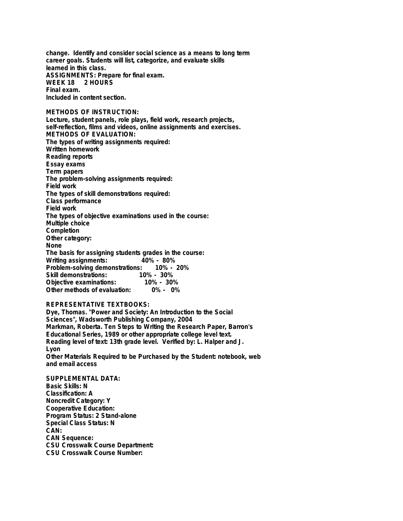**change. Identify and consider social science as a means to long term career goals. Students will list, categorize, and evaluate skills learned in this class. ASSIGNMENTS: Prepare for final exam. WEEK 18 2 HOURS Final exam.**

**Included in content section.**

**METHODS OF INSTRUCTION: Lecture, student panels, role plays, field work, research projects, self-reflection, films and videos, online assignments and exercises. METHODS OF EVALUATION: The types of writing assignments required: Written homework Reading reports Essay exams Term papers The problem-solving assignments required: Field work The types of skill demonstrations required: Class performance Field work The types of objective examinations used in the course: Multiple choice Completion Other category: None The basis for assigning students grades in the course: Writing assignments: 40% - 80% Problem-solving demonstrations:** Skill demonstrations: 10% - 30%<br>Objective examinations: 10% - 30% **Objective examinations: 10% - 30%**

# **REPRESENTATIVE TEXTBOOKS:**

**Other methods of evaluation:** 

**Dye, Thomas. "Power and Society: An Introduction to the Social Sciences", Wadsworth Publishing Company, 2004 Markman, Roberta. Ten Steps to Writing the Research Paper, Barron's Educational Series, 1989 or other appropriate college level text. Reading level of text: 13th grade level. Verified by: L. Halper and J. Lyon Other Materials Required to be Purchased by the Student: notebook, web and email access**

**SUPPLEMENTAL DATA: Basic Skills: N Classification: A Noncredit Category: Y Cooperative Education: Program Status: 2 Stand-alone Special Class Status: N CAN: CAN Sequence: CSU Crosswalk Course Department: CSU Crosswalk Course Number:**